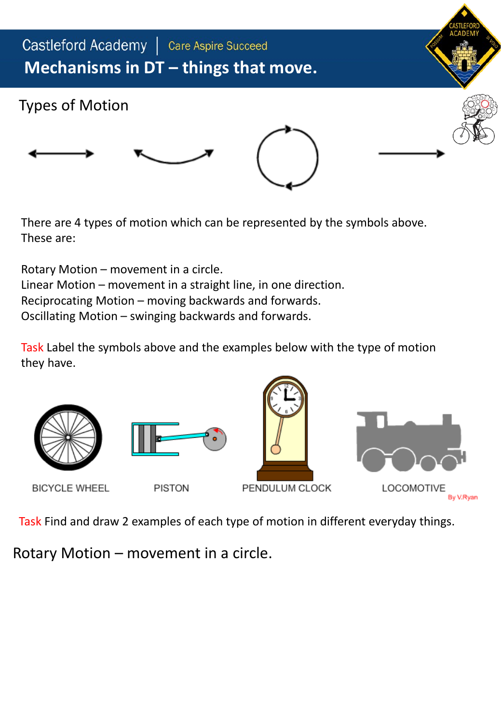

There are 4 types of motion which can be represented by the symbols above. These are:

Rotary Motion – movement in a circle. Linear Motion – movement in a straight line, in one direction. Reciprocating Motion – moving backwards and forwards. Oscillating Motion – swinging backwards and forwards.

Task Label the symbols above and the examples below with the type of motion they have.





Task Find and draw 2 examples of each type of motion in different everyday things.

Rotary Motion – movement in a circle.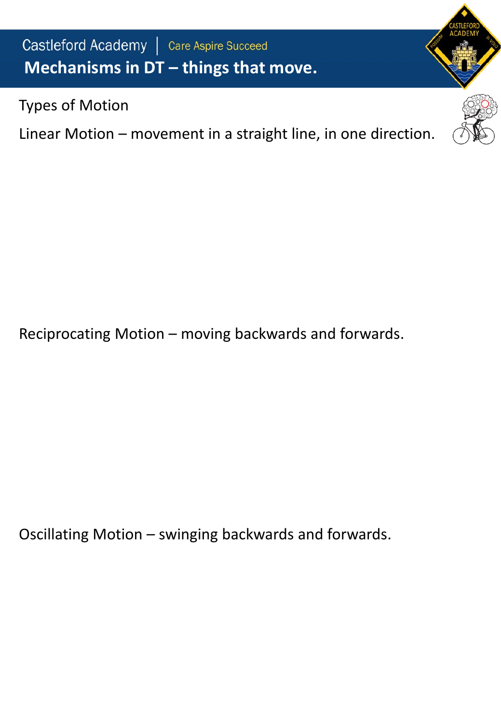Castleford Academy | Care Aspire Succeed **Mechanisms in DT – things that move.**

Types of Motion

Linear Motion – movement in a straight line, in one direction.

Reciprocating Motion – moving backwards and forwards.

Oscillating Motion – swinging backwards and forwards.